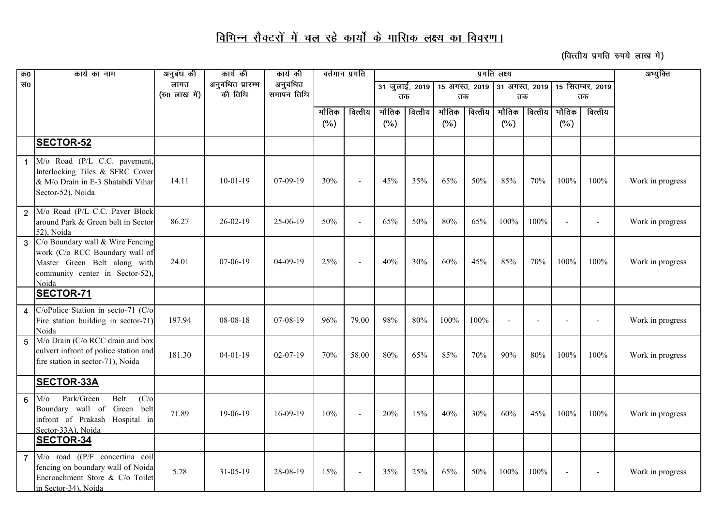## <u>विभिन्न सैक्टरों में चल रहे कार्यो के मासिक लक्ष्य का विवरण।</u>

*(वित्तीय प्रगति रुपये लाख में)* 

| क्र0 | कार्य का नाम                                                                                                                                   | अनुबंध की     | कार्य की          | कार्य की       | वर्तमान प्रगति |                          |                |         |                | प्रगति लक्ष्य | अभ्युक्ति      |         |                          |         |                  |
|------|------------------------------------------------------------------------------------------------------------------------------------------------|---------------|-------------------|----------------|----------------|--------------------------|----------------|---------|----------------|---------------|----------------|---------|--------------------------|---------|------------------|
| सं0  |                                                                                                                                                | लागत          | अनुबंधित प्रारम्भ | अनुबंधित       |                |                          | 31 जुलाई, 2019 |         | 15 अगस्त, 2019 |               | 31 अगस्त, 2019 |         | 15 सितम्बर, 2019         |         |                  |
|      |                                                                                                                                                | (रु0 लाख में) | की तिथि           | समापन तिथि     |                |                          | तक             |         | तक             |               | तक             |         | तक                       |         |                  |
|      |                                                                                                                                                |               |                   |                | भौतिक          | वित्तीय                  | भौतिक          | वित्तीय | भौतिक          | वित्तीय       | भौतिक          | वित्तीय | भौतिक                    | वित्तीय |                  |
|      |                                                                                                                                                |               |                   |                | (%)            |                          | (%)            |         | (%)            |               | (%)            |         | $(\%)$                   |         |                  |
|      | <b>SECTOR-52</b>                                                                                                                               |               |                   |                |                |                          |                |         |                |               |                |         |                          |         |                  |
|      | M/o Road (P/L C.C. pavement,<br>Interlocking Tiles & SFRC Cover<br>& M/o Drain in E-3 Shatabdi Vihar<br>Sector-52), Noida                      | 14.11         | $10-01-19$        | 07-09-19       | 30%            |                          | 45%            | 35%     | 65%            | 50%           | 85%            | 70%     | 100%                     | 100%    | Work in progress |
|      | M/o Road (P/L C.C. Paver Block<br>around Park & Green belt in Sector<br>52), Noida                                                             | 86.27         | $26 - 02 - 19$    | 25-06-19       | 50%            | $\overline{a}$           | 65%            | 50%     | 80%            | 65%           | 100%           | 100%    | $\sim$                   |         | Work in progress |
| 3    | C/o Boundary wall & Wire Fencing<br>work (C/o RCC Boundary wall of<br>Master Green Belt along with<br>community center in Sector-52),<br>Noida | 24.01         | 07-06-19          | 04-09-19       | 25%            | $\overline{\phantom{a}}$ | 40%            | 30%     | 60%            | 45%           | 85%            | 70%     | 100%                     | 100%    | Work in progress |
|      | <b>SECTOR-71</b>                                                                                                                               |               |                   |                |                |                          |                |         |                |               |                |         |                          |         |                  |
|      | C/oPolice Station in secto-71 (C/o<br>Fire station building in sector-71)<br>Noida                                                             | 197.94        | 08-08-18          | 07-08-19       | 96%            | 79.00                    | 98%            | 80%     | 100%           | 100%          |                |         | $\overline{\phantom{a}}$ |         | Work in progress |
| 5    | M/o Drain (C/o RCC drain and box<br>culvert infront of police station and<br>fire station in sector-71), Noida                                 | 181.30        | $04 - 01 - 19$    | $02 - 07 - 19$ | 70%            | 58.00                    | 80%            | 65%     | 85%            | 70%           | 90%            | 80%     | 100%                     | 100%    | Work in progress |
|      | <b>SECTOR-33A</b>                                                                                                                              |               |                   |                |                |                          |                |         |                |               |                |         |                          |         |                  |
| 6    | Park/Green<br>Belt<br>(C/O)<br>$M$ /0<br>Boundary wall of Green<br>belt<br>infront of Prakash Hospital in<br>Sector-33A), Noida                | 71.89         | 19-06-19          | 16-09-19       | 10%            |                          | 20%            | 15%     | 40%            | 30%           | 60%            | 45%     | 100%                     | 100%    | Work in progress |
|      | <b>SECTOR-34</b>                                                                                                                               |               |                   |                |                |                          |                |         |                |               |                |         |                          |         |                  |
|      | M/o road ((P/F concertina coil<br>fencing on boundary wall of Noida<br>Encroachment Store & C/o Toilet<br>in Sector-34), Noida                 | 5.78          | $31 - 05 - 19$    | 28-08-19       | 15%            |                          | 35%            | 25%     | 65%            | 50%           | 100%           | 100%    |                          |         | Work in progress |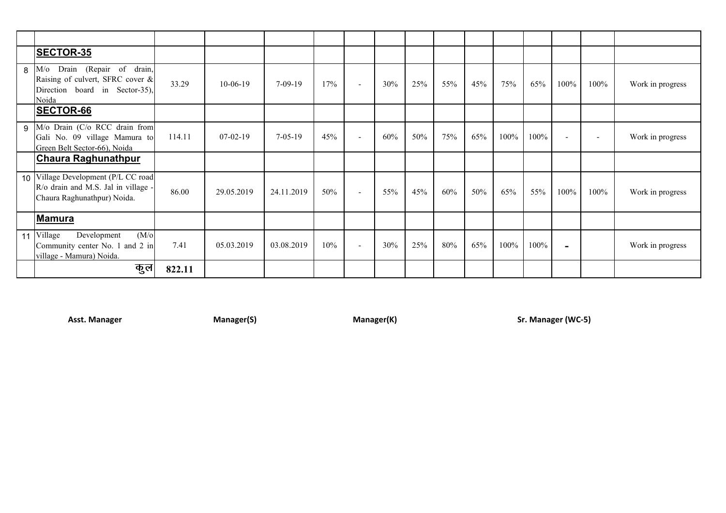|                 | <b>SECTOR-35</b>                                                                                                 |        |            |               |     |                          |     |     |     |     |      |      |                          |                          |                  |
|-----------------|------------------------------------------------------------------------------------------------------------------|--------|------------|---------------|-----|--------------------------|-----|-----|-----|-----|------|------|--------------------------|--------------------------|------------------|
| 8               | Drain (Repair of drain,<br>$M$ /0<br>Raising of culvert, SFRC cover &<br>Direction board in Sector-35),<br>Noida | 33.29  | $10-06-19$ | $7-09-19$     | 17% | $\overline{\phantom{a}}$ | 30% | 25% | 55% | 45% | 75%  | 65%  | 100%                     | 100%                     | Work in progress |
|                 | <b>SECTOR-66</b>                                                                                                 |        |            |               |     |                          |     |     |     |     |      |      |                          |                          |                  |
| 9               | M/o Drain (C/o RCC drain from<br>Gali No. 09 village Mamura to<br>Green Belt Sector-66), Noida                   | 114.11 | $07-02-19$ | $7 - 05 - 19$ | 45% | $\blacksquare$           | 60% | 50% | 75% | 65% | 100% | 100% | $\overline{\phantom{0}}$ | $\overline{\phantom{a}}$ | Work in progress |
|                 | <b>Chaura Raghunathpur</b>                                                                                       |        |            |               |     |                          |     |     |     |     |      |      |                          |                          |                  |
|                 | 10 Village Development (P/L CC road<br>R/o drain and M.S. Jal in village -<br>Chaura Raghunathpur) Noida.        | 86.00  | 29.05.2019 | 24.11.2019    | 50% | $\overline{\phantom{a}}$ | 55% | 45% | 60% | 50% | 65%  | 55%  | 100%                     | 100%                     | Work in progress |
|                 | <u> Mamura</u>                                                                                                   |        |            |               |     |                          |     |     |     |     |      |      |                          |                          |                  |
| 11 <sup>1</sup> | Village<br>$(M/\sigma)$<br>Development<br>Community center No. 1 and 2 in<br>village - Mamura) Noida.            | 7.41   | 05.03.2019 | 03.08.2019    | 10% | $\overline{\phantom{a}}$ | 30% | 25% | 80% | 65% | 100% | 100% | -                        |                          | Work in progress |
|                 | कुल                                                                                                              | 822.11 |            |               |     |                          |     |     |     |     |      |      |                          |                          |                  |

**Asst. Manager Manager(S) Manager(K) Sr. Manager (WC-5)**